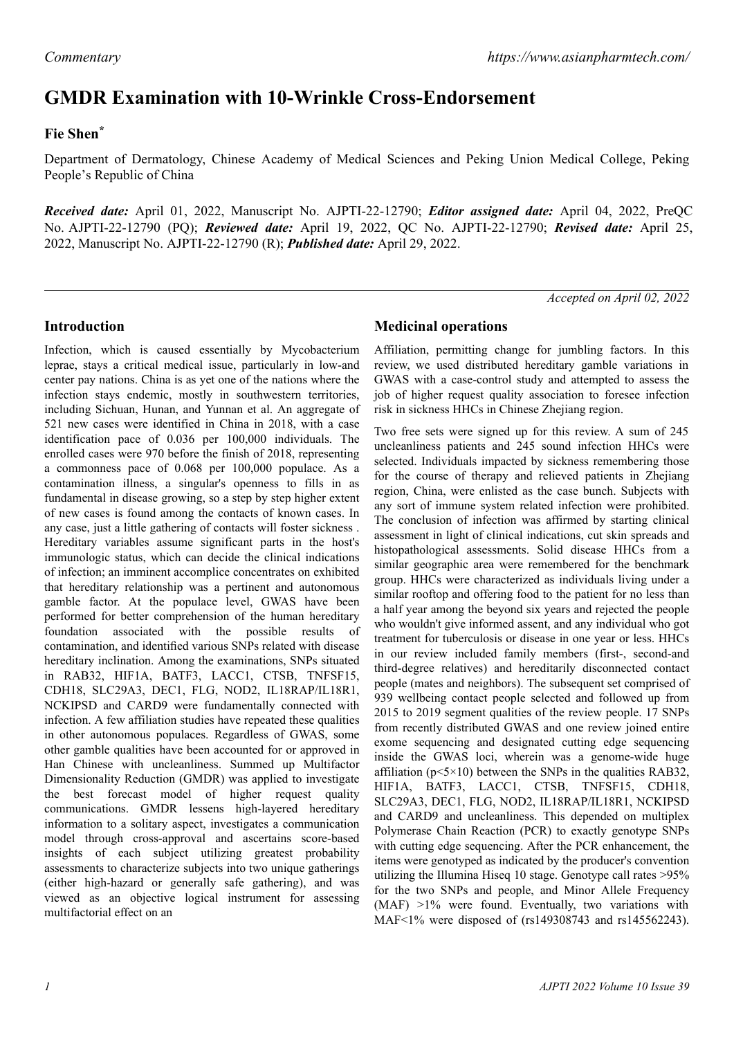# **GMDR Examination with 10-Wrinkle Cross-Endorsement**

## **Fie Shen\***

Department of Dermatology, Chinese Academy of Medical Sciences and Peking Union Medical College, Peking People's Republic of China

*Received date:* April 01, 2022, Manuscript No. AJPTI-22-12790; *Editor assigned date:* April 04, 2022, PreQC No. AJPTI-22-12790 (PQ); *Reviewed date:* April 19, 2022, QC No. AJPTI-22-12790; *Revised date:* April 25, 2022, Manuscript No. AJPTI-22-12790 (R); *Published date:* April 29, 2022.

*Accepted on April 02, 2022*

## **Introduction**

Infection, which is caused essentially by Mycobacterium leprae, stays a critical medical issue, particularly in low-and center pay nations. China is as yet one of the nations where the infection stays endemic, mostly in southwestern territories, including Sichuan, Hunan, and Yunnan et al. An aggregate of 521 new cases were identified in China in 2018, with a case identification pace of 0.036 per 100,000 individuals. The enrolled cases were 970 before the finish of 2018, representing a commonness pace of 0.068 per 100,000 populace. As a contamination illness, a singular's openness to fills in as fundamental in disease growing, so a step by step higher extent of new cases is found among the contacts of known cases. In any case, just a little gathering of contacts will foster sickness . Hereditary variables assume significant parts in the host's immunologic status, which can decide the clinical indications of infection; an imminent accomplice concentrates on exhibited that hereditary relationship was a pertinent and autonomous gamble factor. At the populace level, GWAS have been performed for better comprehension of the human hereditary foundation associated with the possible results of contamination, and identified various SNPs related with disease hereditary inclination. Among the examinations, SNPs situated in RAB32, HIF1A, BATF3, LACC1, CTSB, TNFSF15, CDH18, SLC29A3, DEC1, FLG, NOD2, IL18RAP/IL18R1, NCKIPSD and CARD9 were fundamentally connected with infection. A few affiliation studies have repeated these qualities in other autonomous populaces. Regardless of GWAS, some other gamble qualities have been accounted for or approved in Han Chinese with uncleanliness. Summed up Multifactor Dimensionality Reduction (GMDR) was applied to investigate the best forecast model of higher request quality communications. GMDR lessens high-layered hereditary information to a solitary aspect, investigates a communication model through cross-approval and ascertains score-based insights of each subject utilizing greatest probability assessments to characterize subjects into two unique gatherings (either high-hazard or generally safe gathering), and was viewed as an objective logical instrument for assessing multifactorial effect on an

## **Medicinal operations**

Affiliation, permitting change for jumbling factors. In this review, we used distributed hereditary gamble variations in GWAS with a case-control study and attempted to assess the job of higher request quality association to foresee infection risk in sickness HHCs in Chinese Zhejiang region.

Two free sets were signed up for this review. A sum of 245 uncleanliness patients and 245 sound infection HHCs were selected. Individuals impacted by sickness remembering those for the course of therapy and relieved patients in Zhejiang region, China, were enlisted as the case bunch. Subjects with any sort of immune system related infection were prohibited. The conclusion of infection was affirmed by starting clinical assessment in light of clinical indications, cut skin spreads and histopathological assessments. Solid disease HHCs from a similar geographic area were remembered for the benchmark group. HHCs were characterized as individuals living under a similar rooftop and offering food to the patient for no less than a half year among the beyond six years and rejected the people who wouldn't give informed assent, and any individual who got treatment for tuberculosis or disease in one year or less. HHCs in our review included family members (first-, second-and third-degree relatives) and hereditarily disconnected contact people (mates and neighbors). The subsequent set comprised of 939 wellbeing contact people selected and followed up from 2015 to 2019 segment qualities of the review people. 17 SNPs from recently distributed GWAS and one review joined entire exome sequencing and designated cutting edge sequencing inside the GWAS loci, wherein was a genome-wide huge affiliation ( $p \le 5 \times 10$ ) between the SNPs in the qualities RAB32. HIF1A, BATF3, LACC1, CTSB, TNFSF15, CDH18, SLC29A3, DEC1, FLG, NOD2, IL18RAP/IL18R1, NCKIPSD and CARD9 and uncleanliness. This depended on multiplex Polymerase Chain Reaction (PCR) to exactly genotype SNPs with cutting edge sequencing. After the PCR enhancement, the items were genotyped as indicated by the producer's convention utilizing the Illumina Hiseq 10 stage. Genotype call rates >95% for the two SNPs and people, and Minor Allele Frequency (MAF) >1% were found. Eventually, two variations with MAF<1% were disposed of (rs149308743 and rs145562243).